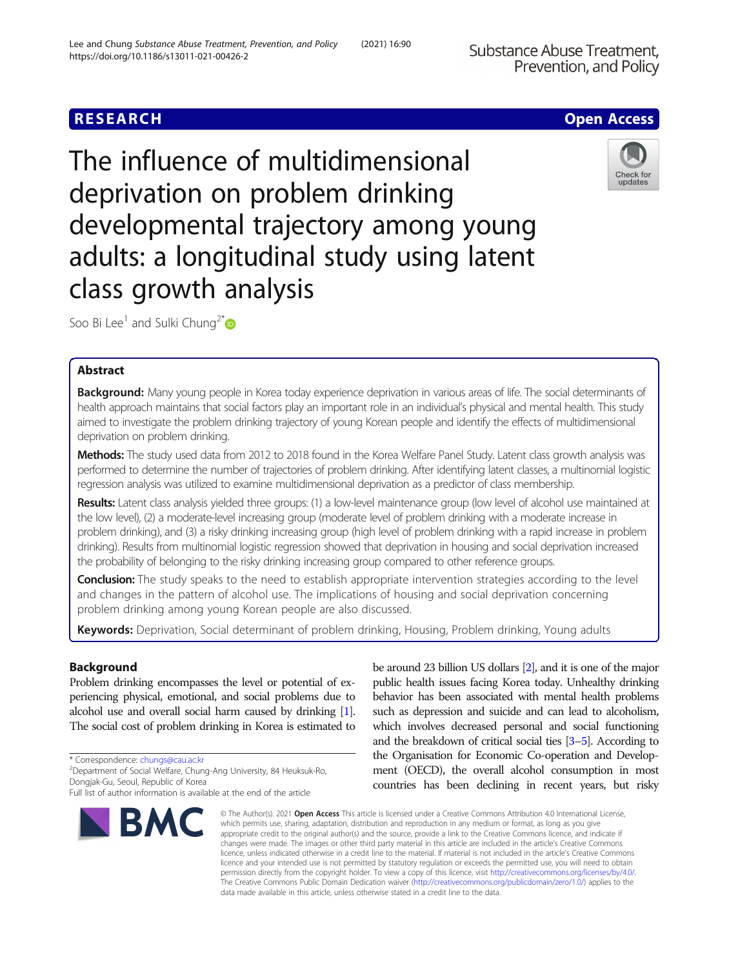# **RESEARCH CHE Open Access**



Check for updates

The influence of multidimensional deprivation on problem drinking developmental trajectory among young adults: a longitudinal study using latent class growth analysis

Soo Bi Lee<sup>1</sup> and Sulki Chung<sup>2\*</sup>

## Abstract

Background: Many young people in Korea today experience deprivation in various areas of life. The social determinants of health approach maintains that social factors play an important role in an individual's physical and mental health. This study aimed to investigate the problem drinking trajectory of young Korean people and identify the effects of multidimensional deprivation on problem drinking.

Methods: The study used data from 2012 to 2018 found in the Korea Welfare Panel Study. Latent class growth analysis was performed to determine the number of trajectories of problem drinking. After identifying latent classes, a multinomial logistic regression analysis was utilized to examine multidimensional deprivation as a predictor of class membership.

Results: Latent class analysis yielded three groups: (1) a low-level maintenance group (low level of alcohol use maintained at the low level), (2) a moderate-level increasing group (moderate level of problem drinking with a moderate increase in problem drinking), and (3) a risky drinking increasing group (high level of problem drinking with a rapid increase in problem drinking). Results from multinomial logistic regression showed that deprivation in housing and social deprivation increased the probability of belonging to the risky drinking increasing group compared to other reference groups.

Conclusion: The study speaks to the need to establish appropriate intervention strategies according to the level and changes in the pattern of alcohol use. The implications of housing and social deprivation concerning problem drinking among young Korean people are also discussed.

Keywords: Deprivation, Social determinant of problem drinking, Housing, Problem drinking, Young adults

## Background

Problem drinking encompasses the level or potential of experiencing physical, emotional, and social problems due to alcohol use and overall social harm caused by drinking [\[1\]](#page-9-0). The social cost of problem drinking in Korea is estimated to

\* Correspondence: [chungs@cau.ac.kr](mailto:chungs@cau.ac.kr) <sup>2</sup>

Full list of author information is available at the end of the article



be around 23 billion US dollars [[2](#page-9-0)], and it is one of the major public health issues facing Korea today. Unhealthy drinking behavior has been associated with mental health problems such as depression and suicide and can lead to alcoholism, which involves decreased personal and social functioning and the breakdown of critical social ties [\[3](#page-9-0)–[5\]](#page-9-0). According to the Organisation for Economic Co-operation and Development (OECD), the overall alcohol consumption in most countries has been declining in recent years, but risky

© The Author(s), 2021 **Open Access** This article is licensed under a Creative Commons Attribution 4.0 International License, which permits use, sharing, adaptation, distribution and reproduction in any medium or format, as long as you give appropriate credit to the original author(s) and the source, provide a link to the Creative Commons licence, and indicate if changes were made. The images or other third party material in this article are included in the article's Creative Commons licence, unless indicated otherwise in a credit line to the material. If material is not included in the article's Creative Commons licence and your intended use is not permitted by statutory regulation or exceeds the permitted use, you will need to obtain permission directly from the copyright holder. To view a copy of this licence, visit [http://creativecommons.org/licenses/by/4.0/.](http://creativecommons.org/licenses/by/4.0/) The Creative Commons Public Domain Dedication waiver [\(http://creativecommons.org/publicdomain/zero/1.0/](http://creativecommons.org/publicdomain/zero/1.0/)) applies to the data made available in this article, unless otherwise stated in a credit line to the data.

Department of Social Welfare, Chung-Ang University, 84 Heuksuk-Ro, Dongjak-Gu, Seoul, Republic of Korea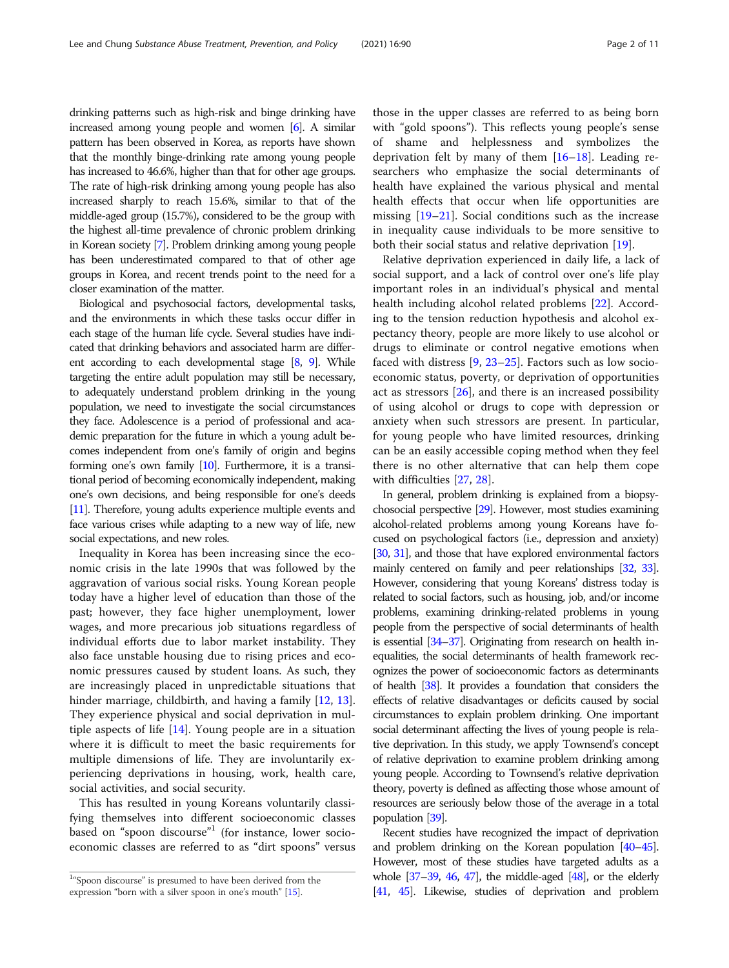drinking patterns such as high-risk and binge drinking have increased among young people and women [[6](#page-9-0)]. A similar pattern has been observed in Korea, as reports have shown that the monthly binge-drinking rate among young people has increased to 46.6%, higher than that for other age groups. The rate of high-risk drinking among young people has also increased sharply to reach 15.6%, similar to that of the middle-aged group (15.7%), considered to be the group with the highest all-time prevalence of chronic problem drinking in Korean society [\[7\]](#page-9-0). Problem drinking among young people has been underestimated compared to that of other age groups in Korea, and recent trends point to the need for a closer examination of the matter.

Biological and psychosocial factors, developmental tasks, and the environments in which these tasks occur differ in each stage of the human life cycle. Several studies have indicated that drinking behaviors and associated harm are different according to each developmental stage [\[8](#page-9-0), [9\]](#page-9-0). While targeting the entire adult population may still be necessary, to adequately understand problem drinking in the young population, we need to investigate the social circumstances they face. Adolescence is a period of professional and academic preparation for the future in which a young adult becomes independent from one's family of origin and begins forming one's own family [\[10\]](#page-9-0). Furthermore, it is a transitional period of becoming economically independent, making one's own decisions, and being responsible for one's deeds [[11\]](#page-9-0). Therefore, young adults experience multiple events and face various crises while adapting to a new way of life, new social expectations, and new roles.

Inequality in Korea has been increasing since the economic crisis in the late 1990s that was followed by the aggravation of various social risks. Young Korean people today have a higher level of education than those of the past; however, they face higher unemployment, lower wages, and more precarious job situations regardless of individual efforts due to labor market instability. They also face unstable housing due to rising prices and economic pressures caused by student loans. As such, they are increasingly placed in unpredictable situations that hinder marriage, childbirth, and having a family [\[12](#page-9-0), [13](#page-9-0)]. They experience physical and social deprivation in multiple aspects of life [[14\]](#page-9-0). Young people are in a situation where it is difficult to meet the basic requirements for multiple dimensions of life. They are involuntarily experiencing deprivations in housing, work, health care, social activities, and social security.

This has resulted in young Koreans voluntarily classifying themselves into different socioeconomic classes based on "spoon discourse"<sup>1</sup> (for instance, lower socioeconomic classes are referred to as "dirt spoons" versus

those in the upper classes are referred to as being born with "gold spoons"). This reflects young people's sense of shame and helplessness and symbolizes the deprivation felt by many of them  $[16–18]$  $[16–18]$  $[16–18]$  $[16–18]$  $[16–18]$ . Leading researchers who emphasize the social determinants of health have explained the various physical and mental health effects that occur when life opportunities are missing [\[19](#page-9-0)–[21\]](#page-9-0). Social conditions such as the increase in inequality cause individuals to be more sensitive to both their social status and relative deprivation [[19](#page-9-0)].

Relative deprivation experienced in daily life, a lack of social support, and a lack of control over one's life play important roles in an individual's physical and mental health including alcohol related problems [\[22](#page-9-0)]. According to the tension reduction hypothesis and alcohol expectancy theory, people are more likely to use alcohol or drugs to eliminate or control negative emotions when faced with distress [[9,](#page-9-0) [23](#page-9-0)–[25](#page-9-0)]. Factors such as low socioeconomic status, poverty, or deprivation of opportunities act as stressors [[26\]](#page-9-0), and there is an increased possibility of using alcohol or drugs to cope with depression or anxiety when such stressors are present. In particular, for young people who have limited resources, drinking can be an easily accessible coping method when they feel there is no other alternative that can help them cope with difficulties [[27,](#page-9-0) [28\]](#page-9-0).

In general, problem drinking is explained from a biopsychosocial perspective [\[29](#page-9-0)]. However, most studies examining alcohol-related problems among young Koreans have focused on psychological factors (i.e., depression and anxiety) [[30,](#page-9-0) [31](#page-9-0)], and those that have explored environmental factors mainly centered on family and peer relationships [\[32](#page-9-0), [33\]](#page-9-0). However, considering that young Koreans' distress today is related to social factors, such as housing, job, and/or income problems, examining drinking-related problems in young people from the perspective of social determinants of health is essential [\[34](#page-9-0)–[37\]](#page-9-0). Originating from research on health inequalities, the social determinants of health framework recognizes the power of socioeconomic factors as determinants of health [\[38](#page-9-0)]. It provides a foundation that considers the effects of relative disadvantages or deficits caused by social circumstances to explain problem drinking. One important social determinant affecting the lives of young people is relative deprivation. In this study, we apply Townsend's concept of relative deprivation to examine problem drinking among young people. According to Townsend's relative deprivation theory, poverty is defined as affecting those whose amount of resources are seriously below those of the average in a total population [\[39\]](#page-10-0).

Recent studies have recognized the impact of deprivation and problem drinking on the Korean population [\[40](#page-10-0)–[45\]](#page-10-0). However, most of these studies have targeted adults as a whole  $[37-39, 46, 47]$  $[37-39, 46, 47]$  $[37-39, 46, 47]$  $[37-39, 46, 47]$  $[37-39, 46, 47]$  $[37-39, 46, 47]$  $[37-39, 46, 47]$  $[37-39, 46, 47]$ , the middle-aged  $[48]$  $[48]$ , or the elderly [[41,](#page-10-0) [45\]](#page-10-0). Likewise, studies of deprivation and problem

<sup>&</sup>lt;sup>1</sup>"Spoon discourse" is presumed to have been derived from the expression "born with a silver spoon in one's mouth" [\[15](#page-9-0)].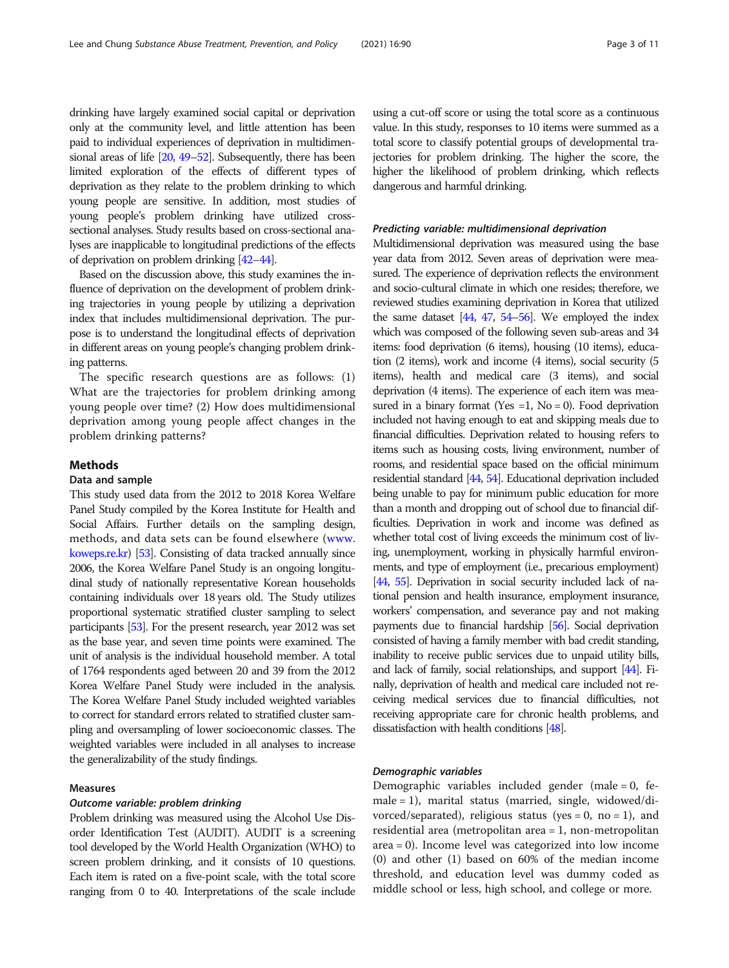drinking have largely examined social capital or deprivation only at the community level, and little attention has been paid to individual experiences of deprivation in multidimensional areas of life [\[20](#page-9-0), [49](#page-10-0)–[52](#page-10-0)]. Subsequently, there has been

limited exploration of the effects of different types of deprivation as they relate to the problem drinking to which young people are sensitive. In addition, most studies of young people's problem drinking have utilized crosssectional analyses. Study results based on cross-sectional analyses are inapplicable to longitudinal predictions of the effects of deprivation on problem drinking [\[42](#page-10-0)–[44](#page-10-0)].

Based on the discussion above, this study examines the influence of deprivation on the development of problem drinking trajectories in young people by utilizing a deprivation index that includes multidimensional deprivation. The purpose is to understand the longitudinal effects of deprivation in different areas on young people's changing problem drinking patterns.

The specific research questions are as follows: (1) What are the trajectories for problem drinking among young people over time? (2) How does multidimensional deprivation among young people affect changes in the problem drinking patterns?

## Methods

#### Data and sample

This study used data from the 2012 to 2018 Korea Welfare Panel Study compiled by the Korea Institute for Health and Social Affairs. Further details on the sampling design, methods, and data sets can be found elsewhere ([www.](http://www.koweps.re.kr) [koweps.re.kr](http://www.koweps.re.kr)) [\[53\]](#page-10-0). Consisting of data tracked annually since 2006, the Korea Welfare Panel Study is an ongoing longitudinal study of nationally representative Korean households containing individuals over 18 years old. The Study utilizes proportional systematic stratified cluster sampling to select participants [\[53](#page-10-0)]. For the present research, year 2012 was set as the base year, and seven time points were examined. The unit of analysis is the individual household member. A total of 1764 respondents aged between 20 and 39 from the 2012 Korea Welfare Panel Study were included in the analysis. The Korea Welfare Panel Study included weighted variables to correct for standard errors related to stratified cluster sampling and oversampling of lower socioeconomic classes. The weighted variables were included in all analyses to increase the generalizability of the study findings.

## Measures

#### Outcome variable: problem drinking

Problem drinking was measured using the Alcohol Use Disorder Identification Test (AUDIT). AUDIT is a screening tool developed by the World Health Organization (WHO) to screen problem drinking, and it consists of 10 questions. Each item is rated on a five-point scale, with the total score ranging from 0 to 40. Interpretations of the scale include

using a cut-off score or using the total score as a continuous value. In this study, responses to 10 items were summed as a total score to classify potential groups of developmental trajectories for problem drinking. The higher the score, the higher the likelihood of problem drinking, which reflects dangerous and harmful drinking.

## Predicting variable: multidimensional deprivation

Multidimensional deprivation was measured using the base year data from 2012. Seven areas of deprivation were measured. The experience of deprivation reflects the environment and socio-cultural climate in which one resides; therefore, we reviewed studies examining deprivation in Korea that utilized the same dataset  $[44, 47, 54–56]$  $[44, 47, 54–56]$  $[44, 47, 54–56]$  $[44, 47, 54–56]$  $[44, 47, 54–56]$  $[44, 47, 54–56]$  $[44, 47, 54–56]$ . We employed the index which was composed of the following seven sub-areas and 34 items: food deprivation (6 items), housing (10 items), education (2 items), work and income (4 items), social security (5 items), health and medical care (3 items), and social deprivation (4 items). The experience of each item was measured in a binary format (Yes  $=1$ , No  $= 0$ ). Food deprivation included not having enough to eat and skipping meals due to financial difficulties. Deprivation related to housing refers to items such as housing costs, living environment, number of rooms, and residential space based on the official minimum residential standard [\[44,](#page-10-0) [54\]](#page-10-0). Educational deprivation included being unable to pay for minimum public education for more than a month and dropping out of school due to financial difficulties. Deprivation in work and income was defined as whether total cost of living exceeds the minimum cost of living, unemployment, working in physically harmful environments, and type of employment (i.e., precarious employment) [[44,](#page-10-0) [55\]](#page-10-0). Deprivation in social security included lack of national pension and health insurance, employment insurance, workers' compensation, and severance pay and not making payments due to financial hardship [\[56](#page-10-0)]. Social deprivation consisted of having a family member with bad credit standing, inability to receive public services due to unpaid utility bills, and lack of family, social relationships, and support [[44\]](#page-10-0). Finally, deprivation of health and medical care included not receiving medical services due to financial difficulties, not receiving appropriate care for chronic health problems, and dissatisfaction with health conditions [\[48\]](#page-10-0).

## Demographic variables

Demographic variables included gender (male = 0, female = 1), marital status (married, single, widowed/divorced/separated), religious status (yes = 0, no = 1), and residential area (metropolitan area = 1, non-metropolitan area = 0). Income level was categorized into low income (0) and other (1) based on 60% of the median income threshold, and education level was dummy coded as middle school or less, high school, and college or more.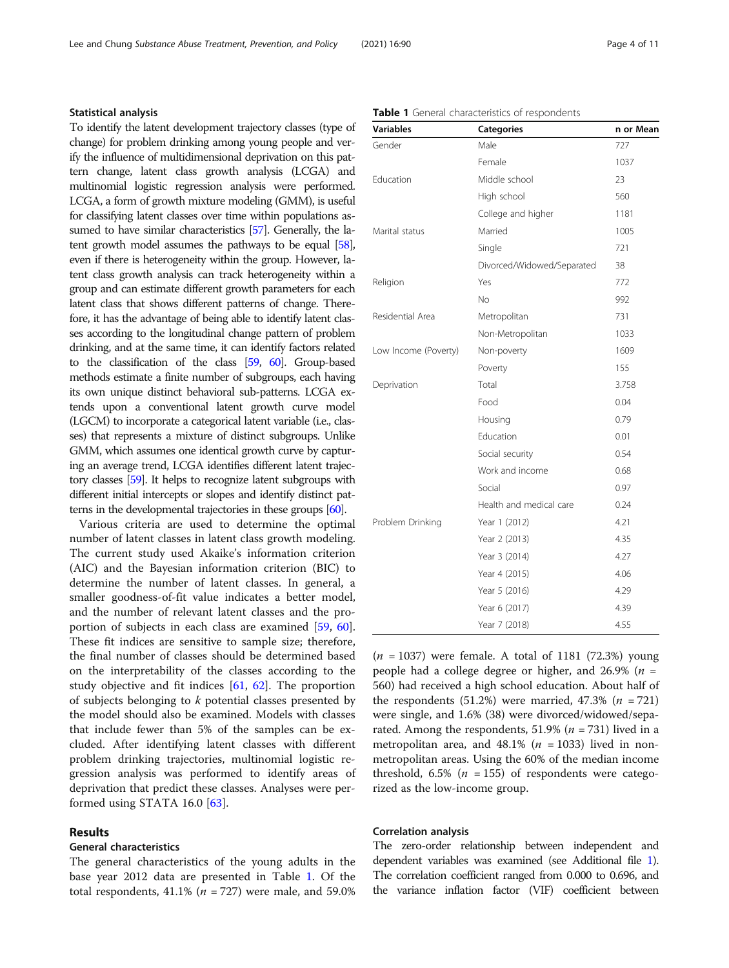## Statistical analysis

To identify the latent development trajectory classes (type of change) for problem drinking among young people and verify the influence of multidimensional deprivation on this pattern change, latent class growth analysis (LCGA) and multinomial logistic regression analysis were performed. LCGA, a form of growth mixture modeling (GMM), is useful for classifying latent classes over time within populations assumed to have similar characteristics [\[57](#page-10-0)]. Generally, the latent growth model assumes the pathways to be equal [\[58\]](#page-10-0), even if there is heterogeneity within the group. However, latent class growth analysis can track heterogeneity within a group and can estimate different growth parameters for each latent class that shows different patterns of change. Therefore, it has the advantage of being able to identify latent classes according to the longitudinal change pattern of problem drinking, and at the same time, it can identify factors related to the classification of the class [[59,](#page-10-0) [60](#page-10-0)]. Group-based methods estimate a finite number of subgroups, each having its own unique distinct behavioral sub-patterns. LCGA extends upon a conventional latent growth curve model (LGCM) to incorporate a categorical latent variable (i.e., classes) that represents a mixture of distinct subgroups. Unlike GMM, which assumes one identical growth curve by capturing an average trend, LCGA identifies different latent trajectory classes [\[59\]](#page-10-0). It helps to recognize latent subgroups with different initial intercepts or slopes and identify distinct patterns in the developmental trajectories in these groups [\[60](#page-10-0)].

Various criteria are used to determine the optimal number of latent classes in latent class growth modeling. The current study used Akaike's information criterion (AIC) and the Bayesian information criterion (BIC) to determine the number of latent classes. In general, a smaller goodness-of-fit value indicates a better model, and the number of relevant latent classes and the proportion of subjects in each class are examined [\[59](#page-10-0), [60](#page-10-0)]. These fit indices are sensitive to sample size; therefore, the final number of classes should be determined based on the interpretability of the classes according to the study objective and fit indices  $[61, 62]$  $[61, 62]$  $[61, 62]$  $[61, 62]$ . The proportion of subjects belonging to  $k$  potential classes presented by the model should also be examined. Models with classes that include fewer than 5% of the samples can be excluded. After identifying latent classes with different problem drinking trajectories, multinomial logistic regression analysis was performed to identify areas of deprivation that predict these classes. Analyses were performed using STATA 16.0 [[63\]](#page-10-0).

## Results

## General characteristics

The general characteristics of the young adults in the base year 2012 data are presented in Table 1. Of the total respondents, 41.1% ( $n = 727$ ) were male, and 59.0%

| Gender               | Male                       | 727   |
|----------------------|----------------------------|-------|
|                      | Female                     | 1037  |
| Education            | Middle school              | 23    |
|                      | High school                | 560   |
|                      | College and higher         | 1181  |
| Marital status       | Married                    | 1005  |
|                      | Single                     | 721   |
|                      | Divorced/Widowed/Separated | 38    |
| Religion             | Yes                        | 772   |
|                      | <b>No</b>                  | 992   |
| Residential Area     | Metropolitan               | 731   |
|                      | Non-Metropolitan           | 1033  |
| Low Income (Poverty) | Non-poverty                | 1609  |
|                      | Poverty                    | 155   |
| Deprivation          | Total                      | 3.758 |
|                      | Food                       | 0.04  |
|                      | Housing                    | 0.79  |
|                      | Education                  | 0.01  |
|                      | Social security            | 0.54  |
|                      | Work and income            | 0.68  |
|                      | Social                     | 0.97  |
|                      | Health and medical care    | 0.24  |
| Problem Drinking     | Year 1 (2012)              | 4.21  |
|                      | Year 2 (2013)              | 4.35  |
|                      | Year 3 (2014)              | 4.27  |
|                      | Year 4 (2015)              | 4.06  |
|                      | Year 5 (2016)              | 4.29  |
|                      | Year 6 (2017)              | 4.39  |
|                      | Year 7 (2018)              | 4.55  |

#### Table 1 General characteristics of respondents

Variables Categories Categories n or Mean

 $(n = 1037)$  were female. A total of 1181 (72.3%) young people had a college degree or higher, and 26.9% ( $n =$ 560) had received a high school education. About half of the respondents  $(51.2%)$  were married, 47.3%  $(n = 721)$ were single, and 1.6% (38) were divorced/widowed/separated. Among the respondents, 51.9% ( $n = 731$ ) lived in a metropolitan area, and 48.1% ( $n = 1033$ ) lived in nonmetropolitan areas. Using the 60% of the median income threshold, 6.5% ( $n = 155$ ) of respondents were categorized as the low-income group.

#### Correlation analysis

The zero-order relationship between independent and dependent variables was examined (see Additional file [1\)](#page-8-0). The correlation coefficient ranged from 0.000 to 0.696, and the variance inflation factor (VIF) coefficient between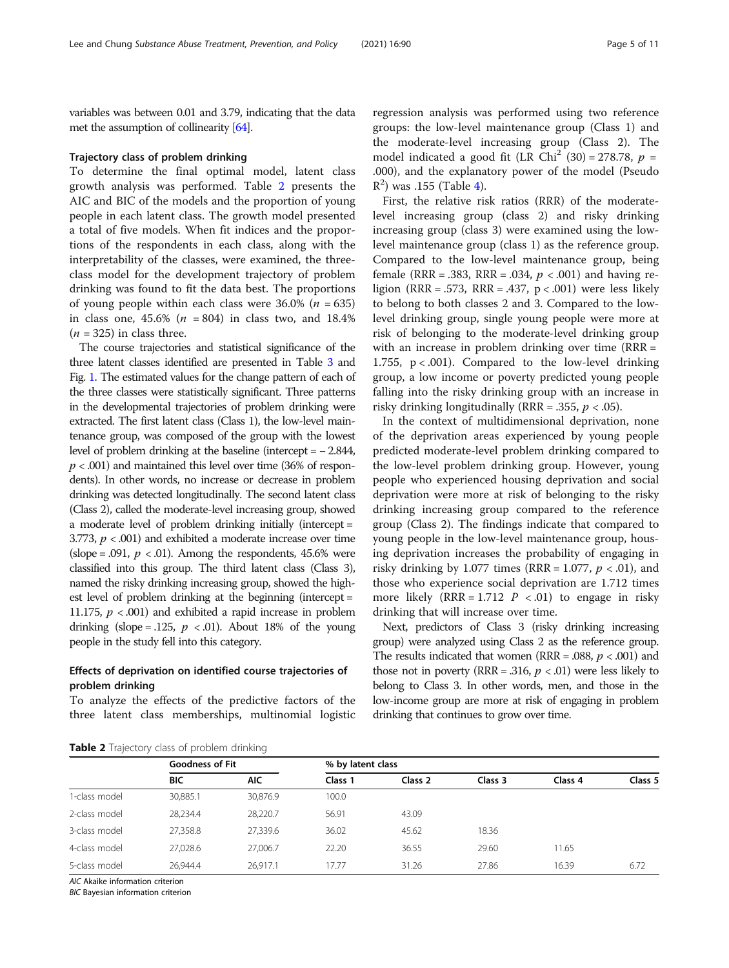variables was between 0.01 and 3.79, indicating that the data met the assumption of collinearity [[64\]](#page-10-0).

## Trajectory class of problem drinking

To determine the final optimal model, latent class growth analysis was performed. Table 2 presents the AIC and BIC of the models and the proportion of young people in each latent class. The growth model presented a total of five models. When fit indices and the proportions of the respondents in each class, along with the interpretability of the classes, were examined, the threeclass model for the development trajectory of problem drinking was found to fit the data best. The proportions of young people within each class were  $36.0\%$  (*n* = 635) in class one,  $45.6\%$  ( $n = 804$ ) in class two, and 18.4%  $(n = 325)$  in class three.

The course trajectories and statistical significance of the three latent classes identified are presented in Table [3](#page-5-0) and Fig. [1](#page-5-0). The estimated values for the change pattern of each of the three classes were statistically significant. Three patterns in the developmental trajectories of problem drinking were extracted. The first latent class (Class 1), the low-level maintenance group, was composed of the group with the lowest level of problem drinking at the baseline (intercept = − 2.844,  $p < .001$ ) and maintained this level over time (36% of respondents). In other words, no increase or decrease in problem drinking was detected longitudinally. The second latent class (Class 2), called the moderate-level increasing group, showed a moderate level of problem drinking initially (intercept = 3.773,  $p < .001$ ) and exhibited a moderate increase over time (slope = .091,  $p < .01$ ). Among the respondents, 45.6% were classified into this group. The third latent class (Class 3), named the risky drinking increasing group, showed the highest level of problem drinking at the beginning (intercept = 11.175,  $p < .001$ ) and exhibited a rapid increase in problem drinking (slope = .125,  $p \lt 0.01$ ). About 18% of the young people in the study fell into this category.

## Effects of deprivation on identified course trajectories of problem drinking

To analyze the effects of the predictive factors of the three latent class memberships, multinomial logistic

regression analysis was performed using two reference groups: the low-level maintenance group (Class 1) and the moderate-level increasing group (Class 2). The model indicated a good fit (LR Chi<sup>2</sup> (30) = 278.78,  $p =$ .000), and the explanatory power of the model (Pseudo  $R<sup>2</sup>$ ) was .155 (Table [4](#page-6-0)).

First, the relative risk ratios (RRR) of the moderatelevel increasing group (class 2) and risky drinking increasing group (class 3) were examined using the lowlevel maintenance group (class 1) as the reference group. Compared to the low-level maintenance group, being female (RRR = .383, RRR = .034,  $p < .001$ ) and having religion (RRR = .573, RRR = .437,  $p < .001$ ) were less likely to belong to both classes 2 and 3. Compared to the lowlevel drinking group, single young people were more at risk of belonging to the moderate-level drinking group with an increase in problem drinking over time (RRR = 1.755,  $p < .001$ ). Compared to the low-level drinking group, a low income or poverty predicted young people falling into the risky drinking group with an increase in risky drinking longitudinally (RRR = .355,  $p < .05$ ).

In the context of multidimensional deprivation, none of the deprivation areas experienced by young people predicted moderate-level problem drinking compared to the low-level problem drinking group. However, young people who experienced housing deprivation and social deprivation were more at risk of belonging to the risky drinking increasing group compared to the reference group (Class 2). The findings indicate that compared to young people in the low-level maintenance group, housing deprivation increases the probability of engaging in risky drinking by 1.077 times (RRR = 1.077,  $p < .01$ ), and those who experience social deprivation are 1.712 times more likely  $(RRR = 1.712 \, P \, < .01)$  to engage in risky drinking that will increase over time.

Next, predictors of Class 3 (risky drinking increasing group) were analyzed using Class 2 as the reference group. The results indicated that women (RRR = .088,  $p < .001$ ) and those not in poverty ( $RRR = .316$ ,  $p < .01$ ) were less likely to belong to Class 3. In other words, men, and those in the low-income group are more at risk of engaging in problem drinking that continues to grow over time.

| Table 2 Trajectory class of problem drinking |  |
|----------------------------------------------|--|
|----------------------------------------------|--|

|               | <b>Goodness of Fit</b> |            | % by latent class |         |         |         |         |
|---------------|------------------------|------------|-------------------|---------|---------|---------|---------|
|               | BIC                    | <b>AIC</b> | Class 1           | Class 2 | Class 3 | Class 4 | Class 5 |
| 1-class model | 30,885.1               | 30.876.9   | 100.0             |         |         |         |         |
| 2-class model | 28.234.4               | 28.220.7   | 56.91             | 43.09   |         |         |         |
| 3-class model | 27,358.8               | 27.339.6   | 36.02             | 45.62   | 18.36   |         |         |
| 4-class model | 27.028.6               | 27.006.7   | 22.20             | 36.55   | 29.60   | 11.65   |         |
| 5-class model | 26.944.4               | 26.917.1   | 17.77             | 31.26   | 27.86   | 16.39   | 6.72    |

AIC Akaike information criterion

BIC Bayesian information criterion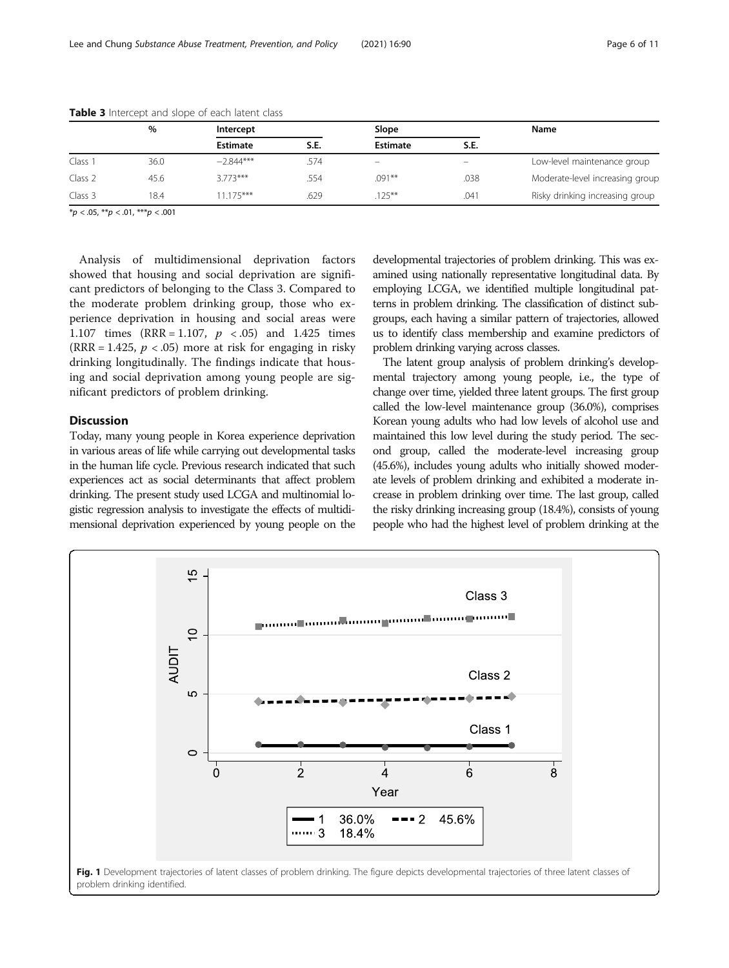|                    | %    | Intercept   |      |                 |                            | Name                            |  |
|--------------------|------|-------------|------|-----------------|----------------------------|---------------------------------|--|
|                    |      | Estimate    | S.E. | <b>Estimate</b> | S.E.                       |                                 |  |
| Class 1            | 36.0 | $-2.844***$ | 574. | -               | $\qquad \qquad \  \  \, -$ | Low-level maintenance group     |  |
| Class 2            | 45.6 | $3.773***$  | .554 | $.091***$       | .038                       | Moderate-level increasing group |  |
| Class <sub>3</sub> | 18.4 | $1.175***$  | .629 | $.125***$       | .041                       | Risky drinking increasing group |  |

<span id="page-5-0"></span>Table 3 Intercept and slope of each latent class

 $\frac{1}{2}p < .05, \frac{1}{2}p < .01, \frac{1}{2}p < .001$ 

Analysis of multidimensional deprivation factors showed that housing and social deprivation are significant predictors of belonging to the Class 3. Compared to the moderate problem drinking group, those who experience deprivation in housing and social areas were 1.107 times (RRR = 1.107,  $p \le 0.05$ ) and 1.425 times (RRR = 1.425,  $p < .05$ ) more at risk for engaging in risky drinking longitudinally. The findings indicate that housing and social deprivation among young people are significant predictors of problem drinking.

## Discussion

Today, many young people in Korea experience deprivation in various areas of life while carrying out developmental tasks in the human life cycle. Previous research indicated that such experiences act as social determinants that affect problem drinking. The present study used LCGA and multinomial logistic regression analysis to investigate the effects of multidimensional deprivation experienced by young people on the developmental trajectories of problem drinking. This was examined using nationally representative longitudinal data. By employing LCGA, we identified multiple longitudinal patterns in problem drinking. The classification of distinct subgroups, each having a similar pattern of trajectories, allowed us to identify class membership and examine predictors of problem drinking varying across classes.

The latent group analysis of problem drinking's developmental trajectory among young people, i.e., the type of change over time, yielded three latent groups. The first group called the low-level maintenance group (36.0%), comprises Korean young adults who had low levels of alcohol use and maintained this low level during the study period. The second group, called the moderate-level increasing group (45.6%), includes young adults who initially showed moderate levels of problem drinking and exhibited a moderate increase in problem drinking over time. The last group, called the risky drinking increasing group (18.4%), consists of young people who had the highest level of problem drinking at the

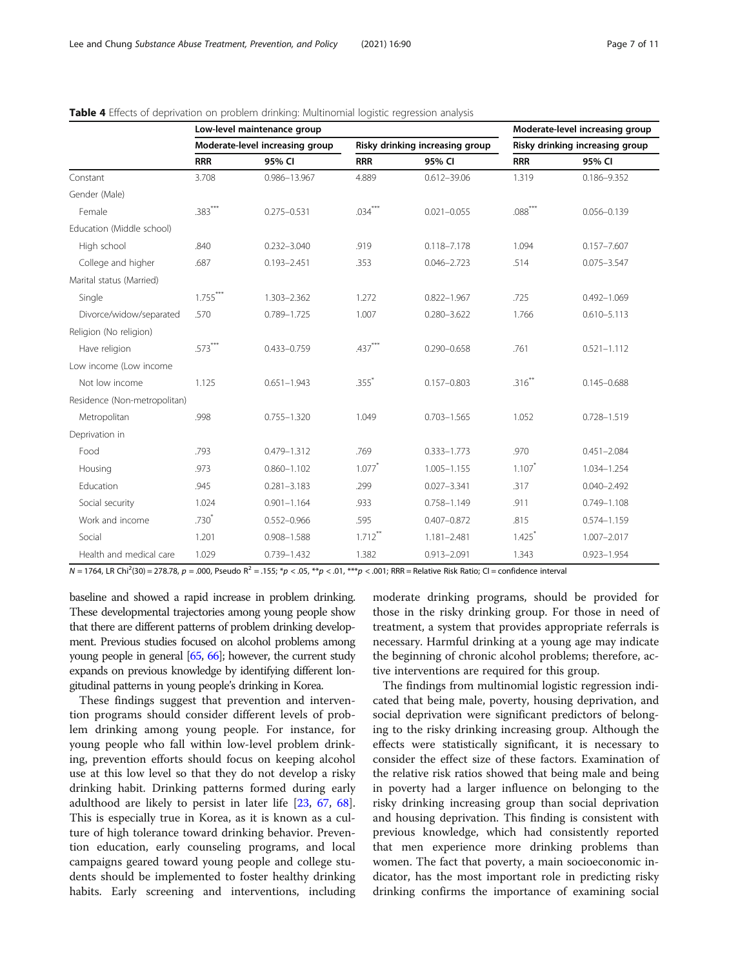|                              |                                 | Low-level maintenance group |                                 |                 |                                 | Moderate-level increasing group |
|------------------------------|---------------------------------|-----------------------------|---------------------------------|-----------------|---------------------------------|---------------------------------|
|                              | Moderate-level increasing group |                             | Risky drinking increasing group |                 | Risky drinking increasing group |                                 |
|                              | <b>RRR</b>                      | 95% CI                      | <b>RRR</b>                      | 95% CI          | <b>RRR</b>                      | 95% CI                          |
| Constant                     | 3.708                           | 0.986-13.967                | 4.889                           | $0.612 - 39.06$ | 1.319                           | 0.186-9.352                     |
| Gender (Male)                |                                 |                             |                                 |                 |                                 |                                 |
| Female                       | $.383***$                       | $0.275 - 0.531$             | $.034***$                       | $0.021 - 0.055$ | $.088***$                       | $0.056 - 0.139$                 |
| Education (Middle school)    |                                 |                             |                                 |                 |                                 |                                 |
| High school                  | .840                            | $0.232 - 3.040$             | .919                            | $0.118 - 7.178$ | 1.094                           | $0.157 - 7.607$                 |
| College and higher           | .687                            | $0.193 - 2.451$             | .353                            | $0.046 - 2.723$ | .514                            | $0.075 - 3.547$                 |
| Marital status (Married)     |                                 |                             |                                 |                 |                                 |                                 |
| Single                       | $1.755***$                      | 1.303-2.362                 | 1.272                           | $0.822 - 1.967$ | .725                            | $0.492 - 1.069$                 |
| Divorce/widow/separated      | .570                            | 0.789-1.725                 | 1.007                           | $0.280 - 3.622$ | 1.766                           | $0.610 - 5.113$                 |
| Religion (No religion)       |                                 |                             |                                 |                 |                                 |                                 |
| Have religion                | $.573***$                       | $0.433 - 0.759$             | $.437***$                       | $0.290 - 0.658$ | .761                            | $0.521 - 1.112$                 |
| Low income (Low income       |                                 |                             |                                 |                 |                                 |                                 |
| Not low income               | 1.125                           | $0.651 - 1.943$             | $.355$ <sup>*</sup>             | $0.157 - 0.803$ | $.316^{*}$                      | $0.145 - 0.688$                 |
| Residence (Non-metropolitan) |                                 |                             |                                 |                 |                                 |                                 |
| Metropolitan                 | .998                            | $0.755 - 1.320$             | 1.049                           | $0.703 - 1.565$ | 1.052                           | $0.728 - 1.519$                 |
| Deprivation in               |                                 |                             |                                 |                 |                                 |                                 |
| Food                         | .793                            | $0.479 - 1.312$             | .769                            | $0.333 - 1.773$ | .970                            | $0.451 - 2.084$                 |
| Housing                      | .973                            | $0.860 - 1.102$             | $1.077$ <sup>*</sup>            | $1.005 - 1.155$ | $1.107*$                        | 1.034-1.254                     |
| Education                    | .945                            | $0.281 - 3.183$             | .299                            | $0.027 - 3.341$ | .317                            | $0.040 - 2.492$                 |
| Social security              | 1.024                           | $0.901 - 1.164$             | .933                            | $0.758 - 1.149$ | .911                            | $0.749 - 1.108$                 |
| Work and income              | $.730*$                         | $0.552 - 0.966$             | .595                            | $0.407 - 0.872$ | .815                            | $0.574 - 1.159$                 |
| Social                       | 1.201                           | $0.908 - 1.588$             | $1.712$ <sup>**</sup>           | $1.181 - 2.481$ | $1.425$ <sup>*</sup>            | 1.007-2.017                     |
| Health and medical care      | 1.029                           | $0.739 - 1.432$             | 1.382                           | $0.913 - 2.091$ | 1.343                           | $0.923 - 1.954$                 |

<span id="page-6-0"></span>

| <b>Table 4</b> Effects of deprivation on problem drinking: Multinomial logistic regression analysis |  |  |
|-----------------------------------------------------------------------------------------------------|--|--|
|                                                                                                     |  |  |

 $N = 1764$ , LR Chi<sup>2</sup>(30) = 278.78, p = .000, Pseudo R<sup>2</sup> = .155; \*p < .05, \*\*p < .01; \*\*\*p < .001; RRR = Relative Risk Ratio; CI = confidence interval

baseline and showed a rapid increase in problem drinking. These developmental trajectories among young people show that there are different patterns of problem drinking development. Previous studies focused on alcohol problems among young people in general [\[65,](#page-10-0) [66\]](#page-10-0); however, the current study expands on previous knowledge by identifying different longitudinal patterns in young people's drinking in Korea.

These findings suggest that prevention and intervention programs should consider different levels of problem drinking among young people. For instance, for young people who fall within low-level problem drinking, prevention efforts should focus on keeping alcohol use at this low level so that they do not develop a risky drinking habit. Drinking patterns formed during early adulthood are likely to persist in later life [[23,](#page-9-0) [67,](#page-10-0) [68](#page-10-0)]. This is especially true in Korea, as it is known as a culture of high tolerance toward drinking behavior. Prevention education, early counseling programs, and local campaigns geared toward young people and college students should be implemented to foster healthy drinking habits. Early screening and interventions, including moderate drinking programs, should be provided for those in the risky drinking group. For those in need of treatment, a system that provides appropriate referrals is necessary. Harmful drinking at a young age may indicate the beginning of chronic alcohol problems; therefore, active interventions are required for this group.

The findings from multinomial logistic regression indicated that being male, poverty, housing deprivation, and social deprivation were significant predictors of belonging to the risky drinking increasing group. Although the effects were statistically significant, it is necessary to consider the effect size of these factors. Examination of the relative risk ratios showed that being male and being in poverty had a larger influence on belonging to the risky drinking increasing group than social deprivation and housing deprivation. This finding is consistent with previous knowledge, which had consistently reported that men experience more drinking problems than women. The fact that poverty, a main socioeconomic indicator, has the most important role in predicting risky drinking confirms the importance of examining social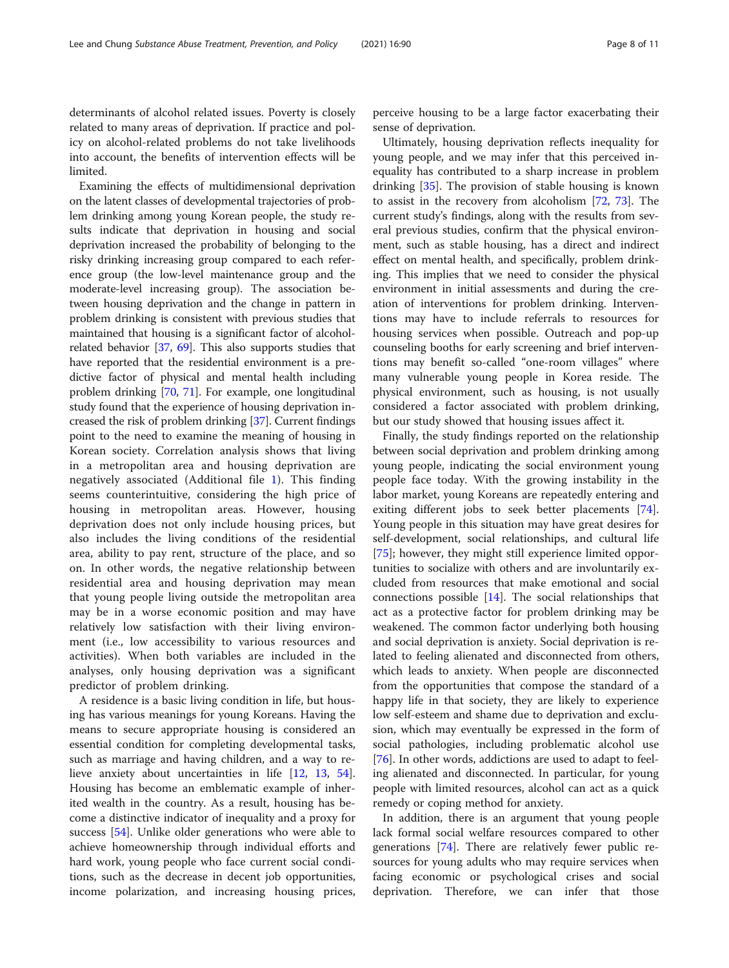determinants of alcohol related issues. Poverty is closely related to many areas of deprivation. If practice and policy on alcohol-related problems do not take livelihoods into account, the benefits of intervention effects will be limited.

Examining the effects of multidimensional deprivation on the latent classes of developmental trajectories of problem drinking among young Korean people, the study results indicate that deprivation in housing and social deprivation increased the probability of belonging to the risky drinking increasing group compared to each reference group (the low-level maintenance group and the moderate-level increasing group). The association between housing deprivation and the change in pattern in problem drinking is consistent with previous studies that maintained that housing is a significant factor of alcoholrelated behavior [\[37,](#page-9-0) [69](#page-10-0)]. This also supports studies that have reported that the residential environment is a predictive factor of physical and mental health including problem drinking [\[70](#page-10-0), [71](#page-10-0)]. For example, one longitudinal study found that the experience of housing deprivation increased the risk of problem drinking [\[37\]](#page-9-0). Current findings point to the need to examine the meaning of housing in Korean society. Correlation analysis shows that living in a metropolitan area and housing deprivation are negatively associated (Additional file [1\)](#page-8-0). This finding seems counterintuitive, considering the high price of housing in metropolitan areas. However, housing deprivation does not only include housing prices, but also includes the living conditions of the residential area, ability to pay rent, structure of the place, and so on. In other words, the negative relationship between residential area and housing deprivation may mean that young people living outside the metropolitan area may be in a worse economic position and may have relatively low satisfaction with their living environment (i.e., low accessibility to various resources and activities). When both variables are included in the analyses, only housing deprivation was a significant predictor of problem drinking.

A residence is a basic living condition in life, but housing has various meanings for young Koreans. Having the means to secure appropriate housing is considered an essential condition for completing developmental tasks, such as marriage and having children, and a way to relieve anxiety about uncertainties in life [[12](#page-9-0), [13](#page-9-0), [54](#page-10-0)]. Housing has become an emblematic example of inherited wealth in the country. As a result, housing has become a distinctive indicator of inequality and a proxy for success [\[54](#page-10-0)]. Unlike older generations who were able to achieve homeownership through individual efforts and hard work, young people who face current social conditions, such as the decrease in decent job opportunities, income polarization, and increasing housing prices,

perceive housing to be a large factor exacerbating their sense of deprivation.

Ultimately, housing deprivation reflects inequality for young people, and we may infer that this perceived inequality has contributed to a sharp increase in problem drinking [[35\]](#page-9-0). The provision of stable housing is known to assist in the recovery from alcoholism [[72,](#page-10-0) [73\]](#page-10-0). The current study's findings, along with the results from several previous studies, confirm that the physical environment, such as stable housing, has a direct and indirect effect on mental health, and specifically, problem drinking. This implies that we need to consider the physical environment in initial assessments and during the creation of interventions for problem drinking. Interventions may have to include referrals to resources for housing services when possible. Outreach and pop-up counseling booths for early screening and brief interventions may benefit so-called "one-room villages" where many vulnerable young people in Korea reside. The physical environment, such as housing, is not usually considered a factor associated with problem drinking, but our study showed that housing issues affect it.

Finally, the study findings reported on the relationship between social deprivation and problem drinking among young people, indicating the social environment young people face today. With the growing instability in the labor market, young Koreans are repeatedly entering and exiting different jobs to seek better placements [\[74](#page-10-0)]. Young people in this situation may have great desires for self-development, social relationships, and cultural life [[75\]](#page-10-0); however, they might still experience limited opportunities to socialize with others and are involuntarily excluded from resources that make emotional and social connections possible [[14](#page-9-0)]. The social relationships that act as a protective factor for problem drinking may be weakened. The common factor underlying both housing and social deprivation is anxiety. Social deprivation is related to feeling alienated and disconnected from others, which leads to anxiety. When people are disconnected from the opportunities that compose the standard of a happy life in that society, they are likely to experience low self-esteem and shame due to deprivation and exclusion, which may eventually be expressed in the form of social pathologies, including problematic alcohol use [[76\]](#page-10-0). In other words, addictions are used to adapt to feeling alienated and disconnected. In particular, for young people with limited resources, alcohol can act as a quick remedy or coping method for anxiety.

In addition, there is an argument that young people lack formal social welfare resources compared to other generations [\[74\]](#page-10-0). There are relatively fewer public resources for young adults who may require services when facing economic or psychological crises and social deprivation. Therefore, we can infer that those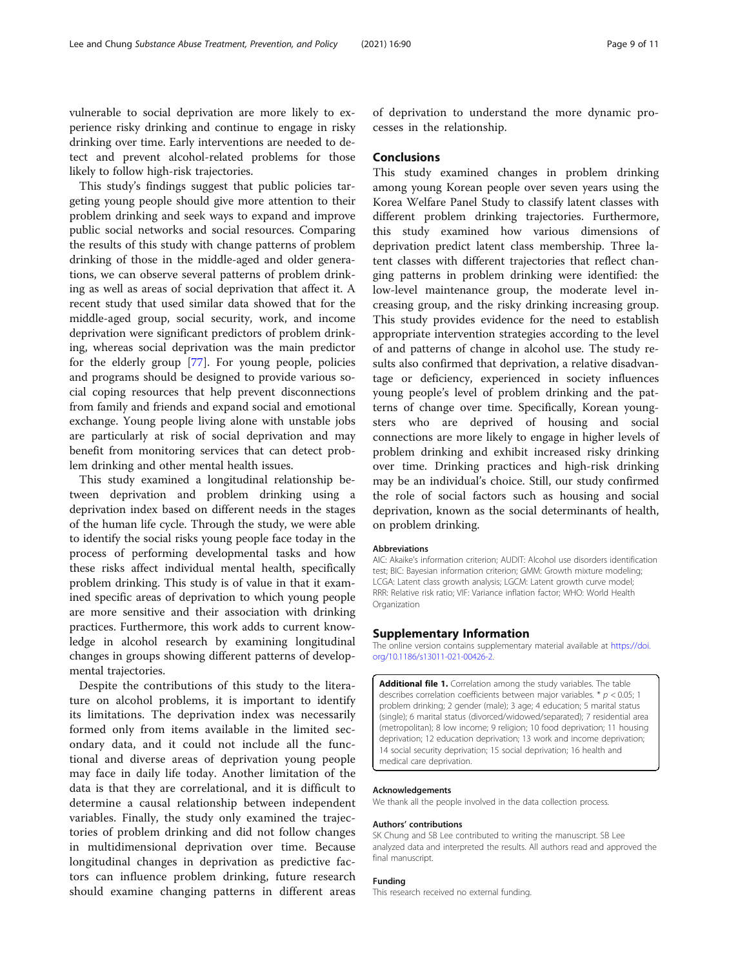<span id="page-8-0"></span>vulnerable to social deprivation are more likely to experience risky drinking and continue to engage in risky drinking over time. Early interventions are needed to detect and prevent alcohol-related problems for those likely to follow high-risk trajectories.

This study's findings suggest that public policies targeting young people should give more attention to their problem drinking and seek ways to expand and improve public social networks and social resources. Comparing the results of this study with change patterns of problem drinking of those in the middle-aged and older generations, we can observe several patterns of problem drinking as well as areas of social deprivation that affect it. A recent study that used similar data showed that for the middle-aged group, social security, work, and income deprivation were significant predictors of problem drinking, whereas social deprivation was the main predictor for the elderly group [\[77](#page-10-0)]. For young people, policies and programs should be designed to provide various social coping resources that help prevent disconnections from family and friends and expand social and emotional exchange. Young people living alone with unstable jobs are particularly at risk of social deprivation and may benefit from monitoring services that can detect problem drinking and other mental health issues.

This study examined a longitudinal relationship between deprivation and problem drinking using a deprivation index based on different needs in the stages of the human life cycle. Through the study, we were able to identify the social risks young people face today in the process of performing developmental tasks and how these risks affect individual mental health, specifically problem drinking. This study is of value in that it examined specific areas of deprivation to which young people are more sensitive and their association with drinking practices. Furthermore, this work adds to current knowledge in alcohol research by examining longitudinal changes in groups showing different patterns of developmental trajectories.

Despite the contributions of this study to the literature on alcohol problems, it is important to identify its limitations. The deprivation index was necessarily formed only from items available in the limited secondary data, and it could not include all the functional and diverse areas of deprivation young people may face in daily life today. Another limitation of the data is that they are correlational, and it is difficult to determine a causal relationship between independent variables. Finally, the study only examined the trajectories of problem drinking and did not follow changes in multidimensional deprivation over time. Because longitudinal changes in deprivation as predictive factors can influence problem drinking, future research should examine changing patterns in different areas

of deprivation to understand the more dynamic processes in the relationship.

## Conclusions

This study examined changes in problem drinking among young Korean people over seven years using the Korea Welfare Panel Study to classify latent classes with different problem drinking trajectories. Furthermore, this study examined how various dimensions of deprivation predict latent class membership. Three latent classes with different trajectories that reflect changing patterns in problem drinking were identified: the low-level maintenance group, the moderate level increasing group, and the risky drinking increasing group. This study provides evidence for the need to establish appropriate intervention strategies according to the level of and patterns of change in alcohol use. The study results also confirmed that deprivation, a relative disadvantage or deficiency, experienced in society influences young people's level of problem drinking and the patterns of change over time. Specifically, Korean youngsters who are deprived of housing and social connections are more likely to engage in higher levels of problem drinking and exhibit increased risky drinking over time. Drinking practices and high-risk drinking may be an individual's choice. Still, our study confirmed the role of social factors such as housing and social deprivation, known as the social determinants of health, on problem drinking.

#### Abbreviations

AIC: Akaike's information criterion; AUDIT: Alcohol use disorders identification test; BIC: Bayesian information criterion; GMM: Growth mixture modeling; LCGA: Latent class growth analysis; LGCM: Latent growth curve model; RRR: Relative risk ratio; VIF: Variance inflation factor; WHO: World Health **Organization** 

#### Supplementary Information

The online version contains supplementary material available at [https://doi.](https://doi.org/10.1186/s13011-021-00426-2) [org/10.1186/s13011-021-00426-2.](https://doi.org/10.1186/s13011-021-00426-2)

Additional file 1. Correlation among the study variables. The table describes correlation coefficients between major variables.  $*$   $p$  < 0.05; 1 problem drinking; 2 gender (male); 3 age; 4 education; 5 marital status (single); 6 marital status (divorced/widowed/separated); 7 residential area (metropolitan); 8 low income; 9 religion; 10 food deprivation; 11 housing deprivation; 12 education deprivation; 13 work and income deprivation; 14 social security deprivation; 15 social deprivation; 16 health and medical care deprivation.

## Acknowledgements

We thank all the people involved in the data collection process.

#### Authors' contributions

SK Chung and SB Lee contributed to writing the manuscript. SB Lee analyzed data and interpreted the results. All authors read and approved the final manuscript.

## Funding

This research received no external funding.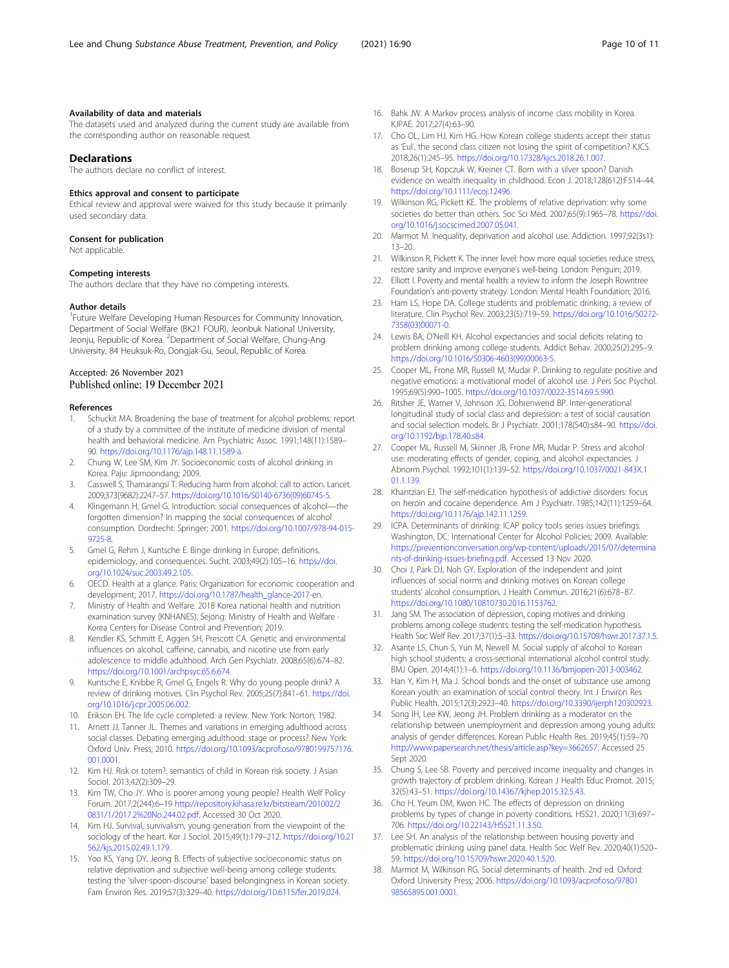### <span id="page-9-0"></span>Availability of data and materials

The datasets used and analyzed during the current study are available from the corresponding author on reasonable request.

## **Declarations**

The authors declare no conflict of interest.

#### Ethics approval and consent to participate

Ethical review and approval were waived for this study because it primarily used secondary data.

#### Consent for publication

Not applicable.

#### Competing interests

The authors declare that they have no competing interests.

#### Author details

<sup>1</sup> Future Welfare Developing Human Resources for Community Innovation, Department of Social Welfare (BK21 FOUR), Jeonbuk National University, Jeonju, Republic of Korea. <sup>2</sup>Department of Social Welfare, Chung-Ang University, 84 Heuksuk-Ro, Dongjak-Gu, Seoul, Republic of Korea.

## Accepted: 26 November 2021 Published online: 19 December 2021

#### References

- 1. Schuckit MA. Broadening the base of treatment for alcohol problems: report of a study by a committee of the institute of medicine division of mental health and behavioral medicine. Am Psychiatric Assoc. 1991;148(11):1589– 90. <https://doi.org/10.1176/ajp.148.11.1589-a>.
- 2. Chung W, Lee SM, Kim JY. Socioeconomic costs of alcohol drinking in Korea. Paju: Jipmoondang; 2009.
- 3. Casswell S, Thamarangsi T. Reducing harm from alcohol: call to action. Lancet. 2009;373(9682):2247–57. [https://doi.org/10.1016/S0140-6736\(09\)60745-5](https://doi.org/10.1016/S0140-6736(09)60745-5).
- 4. Klingemann H, Gmel G. Introduction: social consequences of alcohol—the forgotten dimension? In mapping the social consequences of alcohol consumption. Dordrecht: Springer; 2001. [https://doi.org/10.1007/978-94-015-](https://doi.org/10.1007/978-94-015-9725-8) [9725-8.](https://doi.org/10.1007/978-94-015-9725-8)
- 5. Gmel G, Rehm J, Kuntsche E. Binge drinking in Europe: definitions, epidemiology, and consequences. Sucht. 2003;49(2):105–16. [https://doi.](https://doi.org/10.1024/suc.2003.49.2.105) [org/10.1024/suc.2003.49.2.105](https://doi.org/10.1024/suc.2003.49.2.105).
- 6. OECD. Health at a glance. Paris: Organization for economic cooperation and development; 2017. [https://doi.org/10.1787/health\\_glance-2017-en.](https://doi.org/10.1787/health_glance-2017-en)
- 7. Ministry of Health and Welfare. 2018 Korea national health and nutrition examination survey (KNHANES). Sejong: Ministry of Health and Welfare · Korea Centers for Disease Control and Prevention; 2019.
- Kendler KS, Schmitt E, Aggen SH, Prescott CA. Genetic and environmental influences on alcohol, caffeine, cannabis, and nicotine use from early adolescence to middle adulthood. Arch Gen Psychiatr. 2008;65(6):674–82. [https://doi.org/10.1001/archpsyc.65.6.674.](https://doi.org/10.1001/archpsyc.65.6.674)
- 9. Kuntsche E, Knibbe R, Gmel G, Engels R. Why do young people drink? A review of drinking motives. Clin Psychol Rev. 2005;25(7):841–61. [https://doi.](https://doi.org/10.1016/j.cpr.2005.06.002) [org/10.1016/j.cpr.2005.06.002.](https://doi.org/10.1016/j.cpr.2005.06.002)
- 10. Erikson EH. The life cycle completed: a review. New York: Norton; 1982.
- 11. Arnett JJ, Tanner JL. Themes and variations in emerging adulthood across social classes. Debating emerging adulthood: stage or process? New York: Oxford Univ. Press; 2010. [https://doi.org/10.1093/acprof:oso/9780199757176.](https://doi.org/10.1093/acprof:oso/9780199757176.001.0001) [001.0001.](https://doi.org/10.1093/acprof:oso/9780199757176.001.0001)
- 12. Kim HJ. Risk or totem?: semantics of child in Korean risk society. J Asian Sociol. 2013;42(2):309–29.
- 13. Kim TW, Cho JY. Who is poorer among young people? Health Welf Policy Forum. 2017;2(244):6–19 [http://repository.kihasa.re.kr/bitstream/201002/2](http://repository.kihasa.re.kr/bitstream/201002/20831/1/2017.2%20No.244.02.pdf) [0831/1/2017.2%20No.244.02.pdf](http://repository.kihasa.re.kr/bitstream/201002/20831/1/2017.2%20No.244.02.pdf). Accessed 30 Oct 2020.
- 14. Kim HJ. Survival, survivalism, young generation from the viewpoint of the sociology of the heart. Kor J Sociol. 2015;49(1):179–212. [https://doi.org/10.21](https://doi.org/10.21562/kjs.2015.02.49.1.179) [562/kjs.2015.02.49.1.179](https://doi.org/10.21562/kjs.2015.02.49.1.179).
- 15. Yoo KS, Yang DY, Jeong B. Effects of subjective socioeconomic status on relative deprivation and subjective well-being among college students: testing the 'silver-spoon-discourse' based belongingness in Korean society. Fam Environ Res. 2019;57(3):329–40. <https://doi.org/10.6115/fer.2019.024>.
- 16. Bahk JW. A Markov process analysis of income class mobility in Korea. KJPAE. 2017;27(4):63–90.
- 17. Cho OL, Lim HJ, Kim HG. How Korean college students accept their status as 'Eul', the second class citizen not losing the spirit of competition? KJCS. 2018;26(1):245–95. <https://doi.org/10.17328/kjcs.2018.26.1.007>.
- 18. Boserup SH, Kopczuk W, Kreiner CT. Born with a silver spoon? Danish evidence on wealth inequality in childhood. Econ J. 2018;128(612):F514–44. [https://doi.org/10.1111/ecoj.12496.](https://doi.org/10.1111/ecoj.12496)
- 19. Wilkinson RG, Pickett KE. The problems of relative deprivation: why some societies do better than others. Soc Sci Med. 2007;65(9):1965–78. [https://doi.](https://doi.org/10.1016/j.socscimed.2007.05.041) [org/10.1016/j.socscimed.2007.05.041.](https://doi.org/10.1016/j.socscimed.2007.05.041)
- 20. Marmot M. Inequality, deprivation and alcohol use. Addiction. 1997;92(3s1): 13–20.
- 21. Wilkinson R, Pickett K. The inner level: how more equal societies reduce stress, restore sanity and improve everyone's well-being. London: Penguin; 2019.
- 22. Elliott I. Poverty and mental health: a review to inform the Joseph Rowntree Foundation's anti-poverty strategy. London: Mental Health Foundation; 2016.
- 23. Ham LS, Hope DA. College students and problematic drinking: a review of literature. Clin Psychol Rev. 2003;23(5):719–59. [https://doi.org/10.1016/S0272-](https://doi.org/10.1016/S0272-7358(03)00071-0) [7358\(03\)00071-0](https://doi.org/10.1016/S0272-7358(03)00071-0).
- 24. Lewis BA, O'Neill KH. Alcohol expectancies and social deficits relating to problem drinking among college students. Addict Behav. 2000;25(2):295–9. [https://doi.org/10.1016/S0306-4603\(99\)00063-5.](https://doi.org/10.1016/S0306-4603(99)00063-5)
- 25. Cooper ML, Frone MR, Russell M, Mudar P. Drinking to regulate positive and negative emotions: a motivational model of alcohol use. J Pers Soc Psychol. 1995;69(5):990–1005. <https://doi.org/10.1037/0022-3514.69.5.990>.
- 26. Ritsher JE, Warner V, Johnson JG, Dohrenwend BP. Inter-generational longitudinal study of social class and depression: a test of social causation and social selection models. Br J Psychiatr. 2001;178(S40):s84–90. [https://doi.](https://doi.org/10.1192/bjp.178.40.s84) [org/10.1192/bjp.178.40.s84](https://doi.org/10.1192/bjp.178.40.s84).
- 27. Cooper ML, Russell M, Skinner JB, Frone MR, Mudar P. Stress and alcohol use: moderating effects of gender, coping, and alcohol expectancies. J Abnorm Psychol. 1992;101(1):139–52. [https://doi.org/10.1037/0021-843X.1](https://doi.org/10.1037/0021-843X.101.1.139) [01.1.139.](https://doi.org/10.1037/0021-843X.101.1.139)
- 28. Khantzian EJ. The self-medication hypothesis of addictive disorders: focus on heroin and cocaine dependence. Am J Psychiatr. 1985;142(11):1259–64. [https://doi.org/10.1176/ajp.142.11.1259.](https://doi.org/10.1176/ajp.142.11.1259)
- 29. ICPA. Determinants of drinking: ICAP policy tools series issues briefings. Washington, DC: International Center for Alcohol Policies; 2009. Available: [https://preventionconversation.org/wp-content/uploads/2015/07/determina](https://preventionconversation.org/wp-content/uploads/2015/07/determinants-of-drinking-issues-briefing.pdf) [nts-of-drinking-issues-briefing.pdf](https://preventionconversation.org/wp-content/uploads/2015/07/determinants-of-drinking-issues-briefing.pdf). Accessed 13 Nov 2020.
- 30. Choi J, Park DJ, Noh GY. Exploration of the independent and joint influences of social norms and drinking motives on Korean college students' alcohol consumption. J Health Commun. 2016;21(6):678–87. <https://doi.org/10.1080/10810730.2016.1153762>.
- 31. Jang SM. The association of depression, coping motives and drinking problems among college students: testing the self-medication hypothesis. Health Soc Welf Rev. 2017;37(1):5–33. <https://doi.org/10.15709/hswr.2017.37.1.5>.
- 32. Asante LS, Chun S, Yun M, Newell M. Social supply of alcohol to Korean high school students: a cross-sectional international alcohol control study. BMJ Open. 2014;4(1):1–6. <https://doi.org/10.1136/bmjopen-2013-003462>.
- 33. Han Y, Kim H, Ma J. School bonds and the onset of substance use among Korean youth: an examination of social control theory. Int J Environ Res Public Health. 2015;12(3):2923–40. <https://doi.org/10.3390/ijerph120302923>.
- 34. Song IH, Lee KW, Jeong JH. Problem drinking as a moderator on the relationship between unemployment and depression among young adults: analysis of gender differences. Korean Public Health Res. 2019;45(1):59–70 <http://www.papersearch.net/thesis/article.asp?key=3662657>. Accessed 25 Sept 2020.
- 35. Chung S, Lee SB. Poverty and perceived income inequality and changes in growth trajectory of problem drinking. Korean J Health Educ Promot. 2015; 32(5):43–51. <https://doi.org/10.14367/kjhep.2015.32.5.43>.
- 36. Cho H, Yeum DM, Kwon HC. The effects of depression on drinking problems by types of change in poverty conditions. HSS21. 2020;11(3):697– 706. <https://doi.org/10.22143/HSS21.11.3.50>.
- 37. Lee SH. An analysis of the relationship between housing poverty and problematic drinking using panel data. Health Soc Welf Rev. 2020;40(1):520– 59. [https://doi.org/10.15709/hswr.2020.40.1.520.](https://doi.org/10.15709/hswr.2020.40.1.520)
- 38. Marmot M, Wilkinson RG. Social determinants of health. 2nd ed. Oxford: Oxford University Press; 2006. [https://doi.org/10.1093/acprof:oso/97801](https://doi.org/10.1093/acprof:oso/9780198565895.001.0001) [98565895.001.0001](https://doi.org/10.1093/acprof:oso/9780198565895.001.0001).